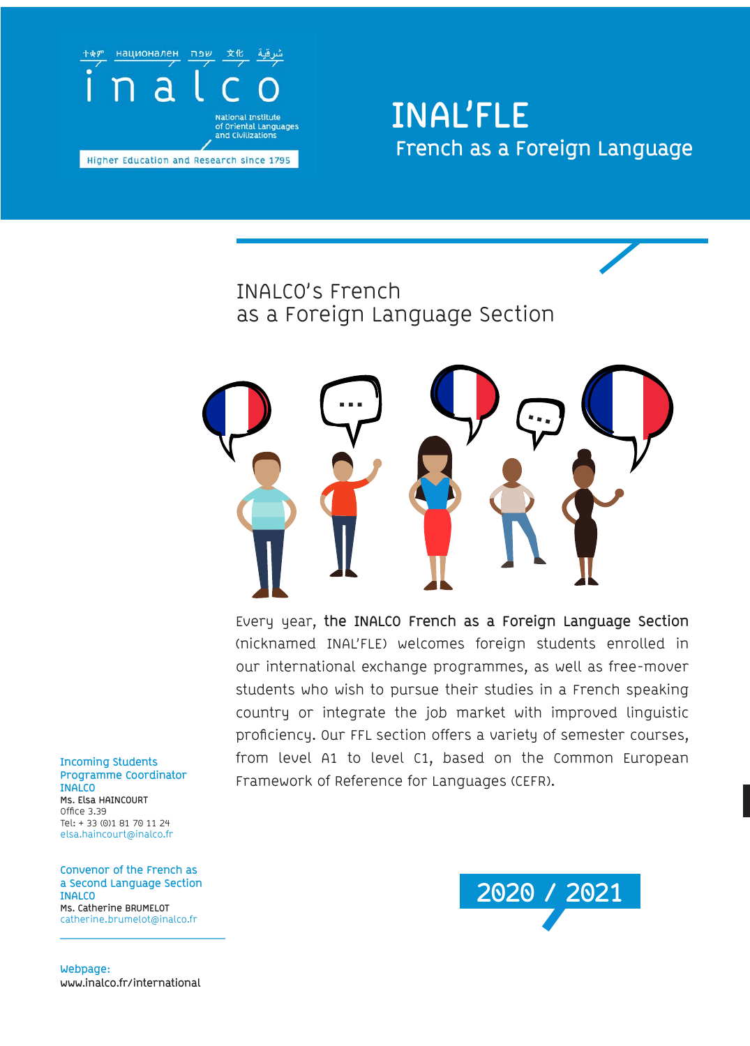

## **INAL'FLE French as a Foreign Language**

## INALCO's French as a Foreign Language Section



Every year, **the INALCO French as a Foreign Language Section**  (nicknamed INAL'FLE) welcomes foreign students enrolled in our international exchange programmes, as well as free-mover students who wish to pursue their studies in a French speaking country or integrate the job market with improved linguistic proficiency. Our FFL section offers a variety of semester courses, from level A1 to level C1, based on the Common European Framework of Reference for Languages (CEFR).

**Incoming Students Programme Coordinator INALCO Ms. Elsa HAINCOURT** Office 3.39 Tel: + 33 (0)1 81 70 11 24 elsa.haincourt@inalco.fr

**Convenor of the French as a Second Language Section INALCO Ms. Catherine BRUMELOT** catherine.brumelot@inalco.fr